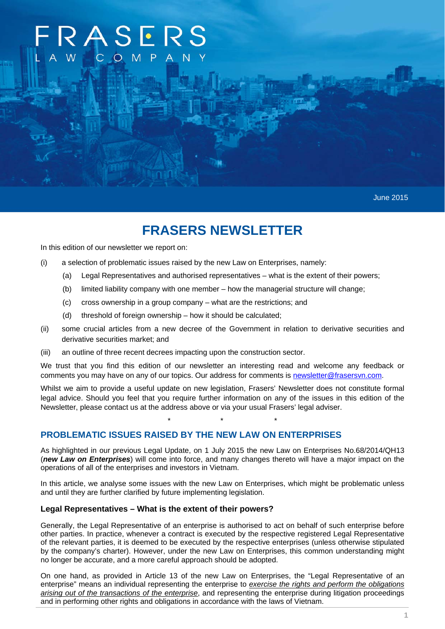# $? A S F R$

June 2015

# **FRASERS NEWSLETTER**

In this edition of our newsletter we report on:

- (i) a selection of problematic issues raised by the new Law on Enterprises, namely:
	- (a) Legal Representatives and authorised representatives what is the extent of their powers;
	- (b) limited liability company with one member how the managerial structure will change;
	- (c) cross ownership in a group company what are the restrictions; and
	- (d) threshold of foreign ownership how it should be calculated;
- (ii) some crucial articles from a new decree of the Government in relation to derivative securities and derivative securities market; and
- (iii) an outline of three recent decrees impacting upon the construction sector.

We trust that you find this edition of our newsletter an interesting read and welcome any feedback or comments you may have on any of our topics. Our address for comments is newsletter@frasersvn.com.

Whilst we aim to provide a useful update on new legislation, Frasers' Newsletter does not constitute formal legal advice. Should you feel that you require further information on any of the issues in this edition of the Newsletter, please contact us at the address above or via your usual Frasers' legal adviser.

\* \* \*

# **PROBLEMATIC ISSUES RAISED BY THE NEW LAW ON ENTERPRISES**

As highlighted in our previous Legal Update, on 1 July 2015 the new Law on Enterprises No.68/2014/QH13 (*new Law on Enterprises*) will come into force, and many changes thereto will have a major impact on the operations of all of the enterprises and investors in Vietnam.

In this article, we analyse some issues with the new Law on Enterprises, which might be problematic unless and until they are further clarified by future implementing legislation.

#### **Legal Representatives – What is the extent of their powers?**

Generally, the Legal Representative of an enterprise is authorised to act on behalf of such enterprise before other parties. In practice, whenever a contract is executed by the respective registered Legal Representative of the relevant parties, it is deemed to be executed by the respective enterprises (unless otherwise stipulated by the company's charter). However, under the new Law on Enterprises, this common understanding might no longer be accurate, and a more careful approach should be adopted.

On one hand, as provided in Article 13 of the new Law on Enterprises, the "Legal Representative of an enterprise" means an individual representing the enterprise to *exercise the rights and perform the obligations arising out of the transactions of the enterprise*, and representing the enterprise during litigation proceedings and in performing other rights and obligations in accordance with the laws of Vietnam.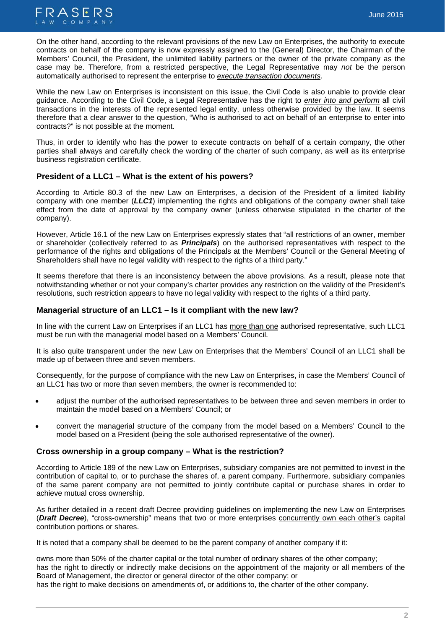

On the other hand, according to the relevant provisions of the new Law on Enterprises, the authority to execute contracts on behalf of the company is now expressly assigned to the (General) Director, the Chairman of the Members' Council, the President, the unlimited liability partners or the owner of the private company as the case may be. Therefore, from a restricted perspective, the Legal Representative may *not* be the person automatically authorised to represent the enterprise to *execute transaction documents*.

While the new Law on Enterprises is inconsistent on this issue, the Civil Code is also unable to provide clear guidance. According to the Civil Code, a Legal Representative has the right to *enter into and perform* all civil transactions in the interests of the represented legal entity, unless otherwise provided by the law. It seems therefore that a clear answer to the question, "Who is authorised to act on behalf of an enterprise to enter into contracts?" is not possible at the moment.

Thus, in order to identify who has the power to execute contracts on behalf of a certain company, the other parties shall always and carefully check the wording of the charter of such company, as well as its enterprise business registration certificate.

# **President of a LLC1 – What is the extent of his powers?**

According to Article 80.3 of the new Law on Enterprises, a decision of the President of a limited liability company with one member (*LLC1*) implementing the rights and obligations of the company owner shall take effect from the date of approval by the company owner (unless otherwise stipulated in the charter of the company).

However, Article 16.1 of the new Law on Enterprises expressly states that "all restrictions of an owner, member or shareholder (collectively referred to as *Principals*) on the authorised representatives with respect to the performance of the rights and obligations of the Principals at the Members' Council or the General Meeting of Shareholders shall have no legal validity with respect to the rights of a third party."

It seems therefore that there is an inconsistency between the above provisions. As a result, please note that notwithstanding whether or not your company's charter provides any restriction on the validity of the President's resolutions, such restriction appears to have no legal validity with respect to the rights of a third party.

## **Managerial structure of an LLC1 – Is it compliant with the new law?**

In line with the current Law on Enterprises if an LLC1 has more than one authorised representative, such LLC1 must be run with the managerial model based on a Members' Council.

It is also quite transparent under the new Law on Enterprises that the Members' Council of an LLC1 shall be made up of between three and seven members.

Consequently, for the purpose of compliance with the new Law on Enterprises, in case the Members' Council of an LLC1 has two or more than seven members, the owner is recommended to:

- adjust the number of the authorised representatives to be between three and seven members in order to maintain the model based on a Members' Council; or
- convert the managerial structure of the company from the model based on a Members' Council to the model based on a President (being the sole authorised representative of the owner).

#### **Cross ownership in a group company – What is the restriction?**

According to Article 189 of the new Law on Enterprises, subsidiary companies are not permitted to invest in the contribution of capital to, or to purchase the shares of, a parent company. Furthermore, subsidiary companies of the same parent company are not permitted to jointly contribute capital or purchase shares in order to achieve mutual cross ownership.

As further detailed in a recent draft Decree providing guidelines on implementing the new Law on Enterprises (*Draft Decree*), "cross-ownership" means that two or more enterprises concurrently own each other's capital contribution portions or shares.

It is noted that a company shall be deemed to be the parent company of another company if it:

owns more than 50% of the charter capital or the total number of ordinary shares of the other company; has the right to directly or indirectly make decisions on the appointment of the majority or all members of the Board of Management, the director or general director of the other company; or

has the right to make decisions on amendments of, or additions to, the charter of the other company.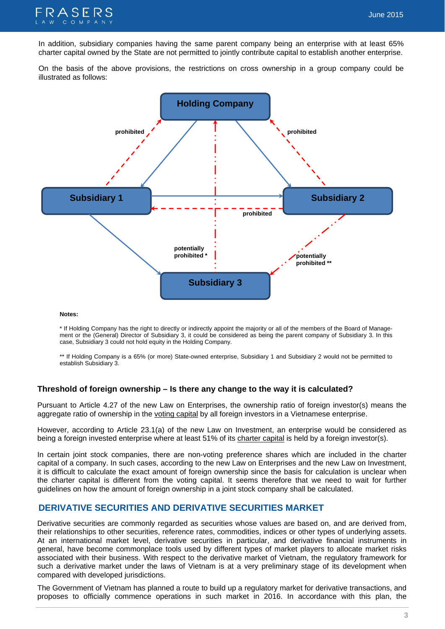

In addition, subsidiary companies having the same parent company being an enterprise with at least 65% charter capital owned by the State are not permitted to jointly contribute capital to establish another enterprise.

On the basis of the above provisions, the restrictions on cross ownership in a group company could be illustrated as follows:



#### **Notes:**

\* If Holding Company has the right to directly or indirectly appoint the majority or all of the members of the Board of Management or the (General) Director of Subsidiary 3, it could be considered as being the parent company of Subsidiary 3. In this case, Subsidiary 3 could not hold equity in the Holding Company.

\*\* If Holding Company is a 65% (or more) State-owned enterprise, Subsidiary 1 and Subsidiary 2 would not be permitted to establish Subsidiary 3.

#### **Threshold of foreign ownership – Is there any change to the way it is calculated?**

Pursuant to Article 4.27 of the new Law on Enterprises, the ownership ratio of foreign investor(s) means the aggregate ratio of ownership in the voting capital by all foreign investors in a Vietnamese enterprise.

However, according to Article 23.1(a) of the new Law on Investment, an enterprise would be considered as being a foreign invested enterprise where at least 51% of its charter capital is held by a foreign investor(s).

In certain joint stock companies, there are non-voting preference shares which are included in the charter capital of a company. In such cases, according to the new Law on Enterprises and the new Law on Investment, it is difficult to calculate the exact amount of foreign ownership since the basis for calculation is unclear when the charter capital is different from the voting capital. It seems therefore that we need to wait for further guidelines on how the amount of foreign ownership in a joint stock company shall be calculated.

#### **DERIVATIVE SECURITIES AND DERIVATIVE SECURITIES MARKET**

Derivative securities are commonly regarded as securities whose values are based on, and are derived from, their relationships to other securities, reference rates, commodities, indices or other types of underlying assets. At an international market level, derivative securities in particular, and derivative financial instruments in general, have become commonplace tools used by different types of market players to allocate market risks associated with their business. With respect to the derivative market of Vietnam, the regulatory framework for such a derivative market under the laws of Vietnam is at a very preliminary stage of its development when compared with developed jurisdictions.

The Government of Vietnam has planned a route to build up a regulatory market for derivative transactions, and proposes to officially commence operations in such market in 2016. In accordance with this plan, the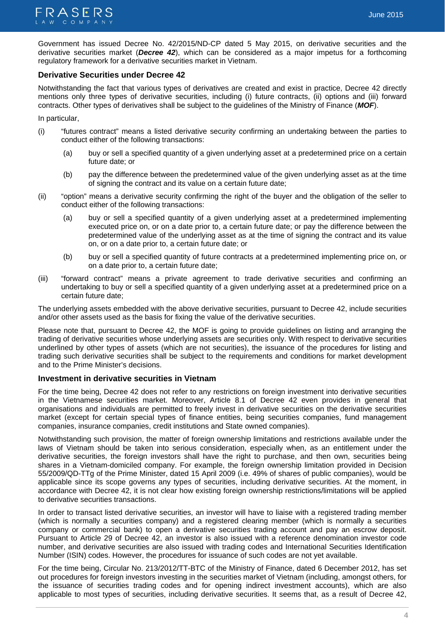Government has issued Decree No. 42/2015/ND-CP dated 5 May 2015, on derivative securities and the derivative securities market (*Decree 42*), which can be considered as a major impetus for a forthcoming regulatory framework for a derivative securities market in Vietnam.

# **Derivative Securities under Decree 42**

Notwithstanding the fact that various types of derivatives are created and exist in practice, Decree 42 directly mentions only three types of derivative securities, including (i) future contracts, (ii) options and (iii) forward contracts. Other types of derivatives shall be subject to the guidelines of the Ministry of Finance (*MOF*).

In particular,

- (i) "futures contract" means a listed derivative security confirming an undertaking between the parties to conduct either of the following transactions:
	- (a) buy or sell a specified quantity of a given underlying asset at a predetermined price on a certain future date; or
	- (b) pay the difference between the predetermined value of the given underlying asset as at the time of signing the contract and its value on a certain future date;
- (ii) "option" means a derivative security confirming the right of the buyer and the obligation of the seller to conduct either of the following transactions:
	- (a) buy or sell a specified quantity of a given underlying asset at a predetermined implementing executed price on, or on a date prior to, a certain future date; or pay the difference between the predetermined value of the underlying asset as at the time of signing the contract and its value on, or on a date prior to, a certain future date; or
	- (b) buy or sell a specified quantity of future contracts at a predetermined implementing price on, or on a date prior to, a certain future date;
- (iii) "forward contract" means a private agreement to trade derivative securities and confirming an undertaking to buy or sell a specified quantity of a given underlying asset at a predetermined price on a certain future date;

The underlying assets embedded with the above derivative securities, pursuant to Decree 42, include securities and/or other assets used as the basis for fixing the value of the derivative securities.

Please note that, pursuant to Decree 42, the MOF is going to provide guidelines on listing and arranging the trading of derivative securities whose underlying assets are securities only. With respect to derivative securities underlined by other types of assets (which are not securities), the issuance of the procedures for listing and trading such derivative securities shall be subject to the requirements and conditions for market development and to the Prime Minister's decisions.

#### **Investment in derivative securities in Vietnam**

For the time being, Decree 42 does not refer to any restrictions on foreign investment into derivative securities in the Vietnamese securities market. Moreover, Article 8.1 of Decree 42 even provides in general that organisations and individuals are permitted to freely invest in derivative securities on the derivative securities market (except for certain special types of finance entities, being securities companies, fund management companies, insurance companies, credit institutions and State owned companies).

Notwithstanding such provision, the matter of foreign ownership limitations and restrictions available under the laws of Vietnam should be taken into serious consideration, especially when, as an entitlement under the derivative securities, the foreign investors shall have the right to purchase, and then own, securities being shares in a Vietnam-domiciled company. For example, the foreign ownership limitation provided in Decision 55/2009/QD-TTg of the Prime Minister, dated 15 April 2009 (i.e. 49% of shares of public companies), would be applicable since its scope governs any types of securities, including derivative securities. At the moment, in accordance with Decree 42, it is not clear how existing foreign ownership restrictions/limitations will be applied to derivative securities transactions.

In order to transact listed derivative securities, an investor will have to liaise with a registered trading member (which is normally a securities company) and a registered clearing member (which is normally a securities company or commercial bank) to open a derivative securities trading account and pay an escrow deposit. Pursuant to Article 29 of Decree 42, an investor is also issued with a reference denomination investor code number, and derivative securities are also issued with trading codes and International Securities Identification Number (ISIN) codes. However, the procedures for issuance of such codes are not yet available.

For the time being, Circular No. 213/2012/TT-BTC of the Ministry of Finance, dated 6 December 2012, has set out procedures for foreign investors investing in the securities market of Vietnam (including, amongst others, for the issuance of securities trading codes and for opening indirect investment accounts), which are also applicable to most types of securities, including derivative securities. It seems that, as a result of Decree 42,

June 2015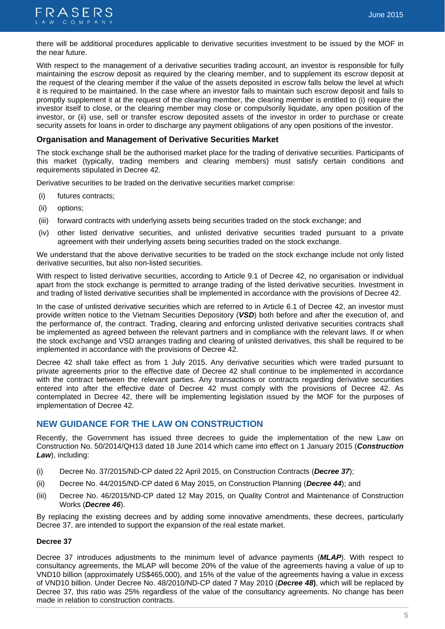

there will be additional procedures applicable to derivative securities investment to be issued by the MOF in the near future.

With respect to the management of a derivative securities trading account, an investor is responsible for fully maintaining the escrow deposit as required by the clearing member, and to supplement its escrow deposit at the request of the clearing member if the value of the assets deposited in escrow falls below the level at which it is required to be maintained. In the case where an investor fails to maintain such escrow deposit and fails to promptly supplement it at the request of the clearing member, the clearing member is entitled to (i) require the investor itself to close, or the clearing member may close or compulsorily liquidate, any open position of the investor, or (ii) use, sell or transfer escrow deposited assets of the investor in order to purchase or create security assets for loans in order to discharge any payment obligations of any open positions of the investor.

## **Organisation and Management of Derivative Securities Market**

The stock exchange shall be the authorised market place for the trading of derivative securities. Participants of this market (typically, trading members and clearing members) must satisfy certain conditions and requirements stipulated in Decree 42.

Derivative securities to be traded on the derivative securities market comprise:

- (i) futures contracts;
- (ii) options;
- (iii) forward contracts with underlying assets being securities traded on the stock exchange; and
- (iv) other listed derivative securities, and unlisted derivative securities traded pursuant to a private agreement with their underlying assets being securities traded on the stock exchange.

We understand that the above derivative securities to be traded on the stock exchange include not only listed derivative securities, but also non-listed securities.

With respect to listed derivative securities, according to Article 9.1 of Decree 42, no organisation or individual apart from the stock exchange is permitted to arrange trading of the listed derivative securities. Investment in and trading of listed derivative securities shall be implemented in accordance with the provisions of Decree 42.

In the case of unlisted derivative securities which are referred to in Article 6.1 of Decree 42, an investor must provide written notice to the Vietnam Securities Depository (*VSD*) both before and after the execution of, and the performance of, the contract. Trading, clearing and enforcing unlisted derivative securities contracts shall be implemented as agreed between the relevant partners and in compliance with the relevant laws. If or when the stock exchange and VSD arranges trading and clearing of unlisted derivatives, this shall be required to be implemented in accordance with the provisions of Decree 42.

Decree 42 shall take effect as from 1 July 2015. Any derivative securities which were traded pursuant to private agreements prior to the effective date of Decree 42 shall continue to be implemented in accordance with the contract between the relevant parties. Any transactions or contracts regarding derivative securities entered into after the effective date of Decree 42 must comply with the provisions of Decree 42. As contemplated in Decree 42, there will be implementing legislation issued by the MOF for the purposes of implementation of Decree 42.

# **NEW GUIDANCE FOR THE LAW ON CONSTRUCTION**

Recently, the Government has issued three decrees to guide the implementation of the new Law on Construction No. 50/2014/QH13 dated 18 June 2014 which came into effect on 1 January 2015 (*Construction Law*), including:

- (i) Decree No. 37/2015/ND-CP dated 22 April 2015, on Construction Contracts (*Decree 37*);
- (ii) Decree No. 44/2015/ND-CP dated 6 May 2015, on Construction Planning (*Decree 44*); and
- (iii) Decree No. 46/2015/ND-CP dated 12 May 2015, on Quality Control and Maintenance of Construction Works (*Decree 46*).

By replacing the existing decrees and by adding some innovative amendments, these decrees, particularly Decree 37, are intended to support the expansion of the real estate market.

#### **Decree 37**

Decree 37 introduces adjustments to the minimum level of advance payments (*MLAP*). With respect to consultancy agreements, the MLAP will become 20% of the value of the agreements having a value of up to VND10 billion (approximately US\$465,000), and 15% of the value of the agreements having a value in excess of VND10 billion. Under Decree No. 48/2010/ND-CP dated 7 May 2010 (*Decree 48***)**, which will be replaced by Decree 37, this ratio was 25% regardless of the value of the consultancy agreements. No change has been made in relation to construction contracts.